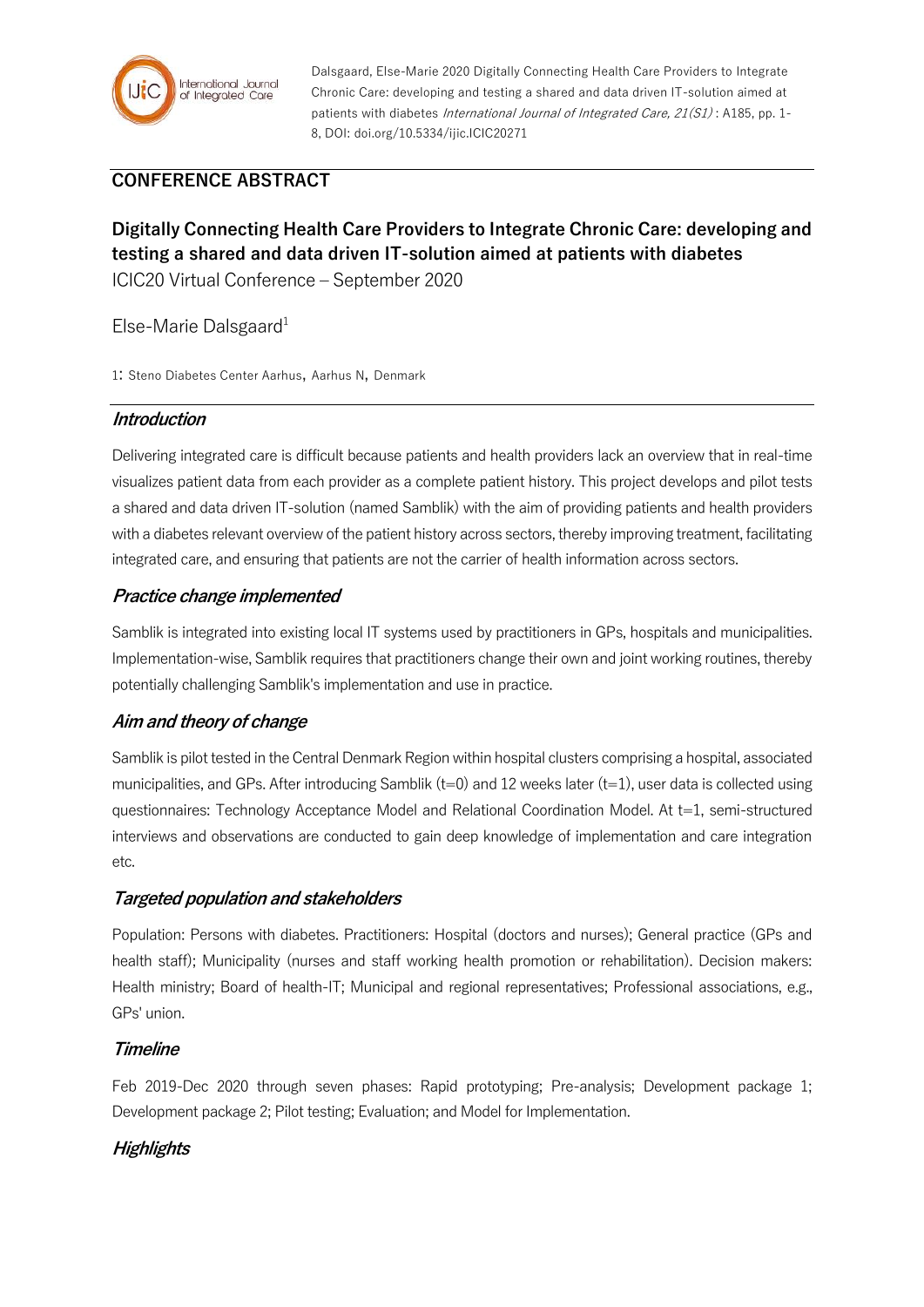

Dalsgaard, Else-Marie 2020 Digitally Connecting Health Care Providers to Integrate Chronic Care: developing and testing a shared and data driven IT-solution aimed at patients with diabetes *International Journal of Integrated Care, 21(S1)*: A185, pp. 1-8, DOI: doi.org/10.5334/ijic.ICIC20271

# **CONFERENCE ABSTRACT**

# **Digitally Connecting Health Care Providers to Integrate Chronic Care: developing and testing a shared and data driven IT-solution aimed at patients with diabetes** ICIC20 Virtual Conference – September 2020

## Else-Marie Dalsgaard $1$

1: Steno Diabetes Center Aarhus, Aarhus N, Denmark

#### **Introduction**

Delivering integrated care is difficult because patients and health providers lack an overview that in real-time visualizes patient data from each provider as a complete patient history. This project develops and pilot tests a shared and data driven IT-solution (named Samblik) with the aim of providing patients and health providers with a diabetes relevant overview of the patient history across sectors, thereby improving treatment, facilitating integrated care, and ensuring that patients are not the carrier of health information across sectors.

## **Practice change implemented**

Samblik is integrated into existing local IT systems used by practitioners in GPs, hospitals and municipalities. Implementation-wise, Samblik requires that practitioners change their own and joint working routines, thereby potentially challenging Samblik's implementation and use in practice.

## **Aim and theory of change**

Samblik is pilot tested in the Central Denmark Region within hospital clusters comprising a hospital, associated municipalities, and GPs. After introducing Samblik (t=0) and 12 weeks later (t=1), user data is collected using questionnaires: Technology Acceptance Model and Relational Coordination Model. At t=1, semi-structured interviews and observations are conducted to gain deep knowledge of implementation and care integration etc.

## **Targeted population and stakeholders**

Population: Persons with diabetes. Practitioners: Hospital (doctors and nurses); General practice (GPs and health staff); Municipality (nurses and staff working health promotion or rehabilitation). Decision makers: Health ministry; Board of health-IT; Municipal and regional representatives; Professional associations, e.g., GPs' union.

## **Timeline**

Feb 2019-Dec 2020 through seven phases: Rapid prototyping; Pre-analysis; Development package 1; Development package 2; Pilot testing; Evaluation; and Model for Implementation.

## **Highlights**